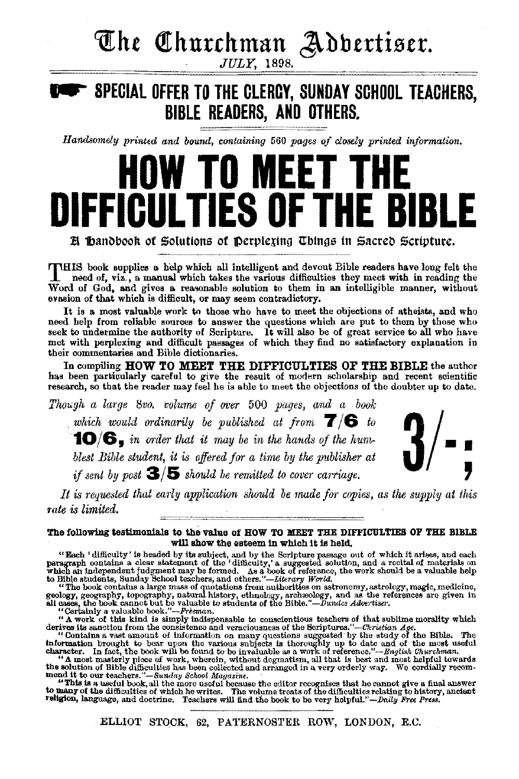# **The Churchman Adbertiser.**

## ~ **SPECIAL OFFER TO THE CLERGY, SUNDAY SCHOOL TEACHERS, BIBLE READERS, AND OTHERS.**

*Handsomely printed and bound, containing* 560 *pages of closely printed information.* 

# **HOW TO MEET THE DIFFICULTIES OF THE BIBLE**

 $\mathbb B$  **Dandbook of Solutions of Derplexing Things in Sacred Scripture.** 

THIS book supplies a. help which all intelligent and devout Bible readers have long felt the need of, viz., a manual which takes the various difficulties they meet with in reading the Word of God, and gives a reasonable solution to them in an intelligible manner, without evasion of that which is difficult, or may seem contradictory.

It is a most valuable work to those who have to meet the objections of atheists, and who need help from reliable sources to answer the questions which are put to them by those who<br>seek to undermine the authority of Scripture. It will also be of great service to all who have<br>met with perplexing and difficult pa their commentaries and Bible dictionaries.

In compiling HOW TO MEET THE DIFFICULTIES OF THE BIBLE the author has been particularly careful to give the result of modern scholarship and recent scientific research, so that the reader may feel he is able to meet the objections of the doubter up to date.

*Though a large 8vo. volume of over 500 pages, and a book* . *which would ordinarily be published at from* **7/6** *to*  **10/6,** in order that it may be in the hands of the hum-<br>blest Bible student, it is offered for a time by the publisher at<br>if sent by post  $\mathcal{S}/5$  should be remitted to cover carriage. *blest Bible student, it is offered for a time by the publisher at* 



It is requested that early application should be made for copies, as the supply at this *rate is limited.* ·

#### The following testimonials to the value of HOW TO MEET THE DIFFICULTIES OF THE BIBLE w1ll show the esteem in which it is held.

"Each 'difficulty' is headed by its subject, and by the Scripture passage out of which it arises, and each paragraph contains a clear statement of the 'difficulty,' a suggested solution, and a recital of matching which an

"A work of this kind is simply indispensable to conscientious teachers of that sublime morality which<br>derives its sameton free consistence and veracionsess of the Striptures."—Cristical Age.<br>"Contains a vast amount of inf

"This is a useful book, all the more useful because the editor recognises that he cannot give a final answer<br>to many of the difficulties of which he writes. The volume treats of the difficulties relating to history, ancie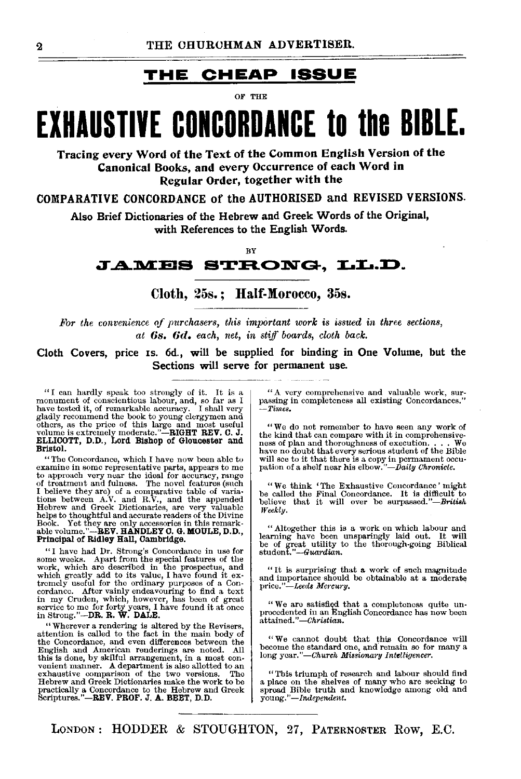### **THE CHEAP ISSUE**

OF THE

# **EXHAUSTIVE CONCORDANCE to the BIBLE.**

Tracing every Word of the Text of the Common English Version of the Canonical Books, and every Occurrence of each Word in Regular Order, together with the

COMPARATIVE CONCORDANCE of the AUTHORISED and REVISED VERSIONS.

Also Brief Dictionaries of the Hebrew and Greek Words of the Original, with References to the English Words.

BY

### **<sup>J</sup>..4..::M:ES STH..ONG, LL.D.**

Cloth, 25s.; Half-Morocco, 35s.

*For the convenience of purchasers, this important work is issued in three sections, at* 6s. 6d. *each, net, in stiff boards, cloth back.* 

Cloth Covers, price Is. 6d., will be supplied for binding in One Volume, but the Sections will serve for permanent use.

"I can hardly speak too strongly of it. It is a monument of conscientious labour, and, so far as I have tested it, of remarkable accuracy. I shall very gladly recommend the book to young clergymen and others, as the price ELLIOOTT, D.D., Lord Bishop of Gloucester and Bristol.

"The Concordance, which I have now been able to examine in some representative parts, appears to me to approach very near the ideal for accuracy, range of treatment and fulness. The novel features (such I believe they are Houst we will be the maximulation, are very valuate reduces the Divine abok. Yet they are only accessories in this remarkable volume."--REV. HANDLEY O. G. MOULE, D.D., Principal of Ridley Hall, Cambridge.

"I have had Dr. Strong's Concordance in use for<br>some weeks. Apart from the special features of the<br>work, which are described in the prospectus, and<br>which greatly add to its value, I have found it ex-<br>tremely useful for th

"Wherever a rendering is altered by the Revisers, attention is called to the fact in the main body of the Concordance, and even differences between the English and American renderings are noted. All this is done, by skilf

"A very comprehensive and valuable work, surM passing in completeness all existing Concordances.'' *-Times.* 

"We do not remember to have seen any work of the kind that can compare with it in comprehensiveness of plan and thoroughness of execution. have no doubt that every serious student of the Bible will see to it that there is a copy in permament occupation of a shelf near his elbow."-Daily Chronicle.

"We think 'The Exhaustive Concordance ' might be called the Final Concordance. It is difficult to believe that it will ever be surpassed."-British *Weekly.* 

"Altogether this is a work on which labour and learning have been unsparingly laid out. It will be of great utility to the thorough-going Biblical student. *"-Guardian.* 

"It is surprising that  $\alpha$  work of snch magnitude and importance should be obtainable at a moderate *price."-Leeds Mercury*.

"We aro satisfied that a completeness quite unprocedented in an English Concordance has now been attained."-*Christian*.

"We cannot doubt that this Concordance will become the standard one, and remain so for many a long *year."-Church Missionary Intelligencer*.

"This triumph of research and labour should find a place on the shelves of many who are seeking to spread Bible truth and knowledge among old and *young."-Independent.*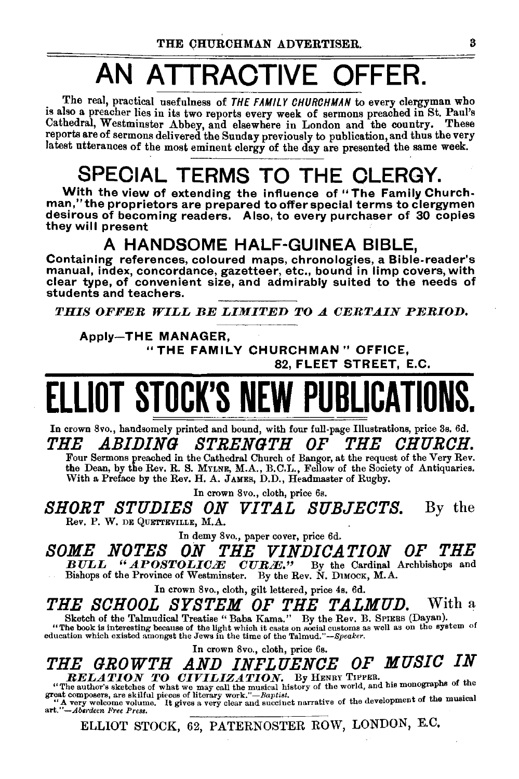# AN ATTRACTIVE OFFER.

The real, practical usefulness of THE FAMILY CHURCHMAN to every clergyman who is also a preacher lies in its two reports every week of sermons preached in St. Paul's Cathedral, Westminster Abbey, and elsewhere in London and the country. These reports are of sermons delivered the Sunday previously to publication, and thus the very latest utterances of the most eminent clergy of the day are presented the same week.

# SPECIAL TERMS TO THE CLERGY.

With the view of extending the influence of "The Family Churchman," the proprietors are prepared to offer special terms to clergymen desirous of becoming readers. Also, to every purchaser of 30 copies they will present

### A HANDSOME HALF-GUINEA BIBLE,

Containing references, coloured maps, chronologies, a Bible-reader's manual, index, concordance, gazetteer, etc., bound in limp covers, with clear type, of convenient size, and admirably suited to the needs of students and teachers.

*THIS OFFER WILL BE LIMITED TO A CERTAIN PERIOD.* 

### Apply-THE MANAGER,

"THE FAMILY CHURCHMAN" OFFICE, 82, FLEET STREET, E.C.

# LLIOT STOCK'S NEW PUBLICATIO

In crown 8vo., handsomely printed and bound, with four full-page Illustrations, price 3s. 6d. *THE .ABIDING STRENGTH OF THE CHURCH.*  Four Sermons preached in the Cathedral Church of Bangor, at the request of the Very Rev.

the Dean, by the Rev. R. S. MYLNE, M.A., B.C.L., Fellow of the Society of Antiquaries. With a Preface by the Rev. H. A. JAMES, D.D., Headmaster of Rugby.

In crown 8vo., cloth, price 6s.

*SHORT STUDIES ON VITAL SUBJECTS.* By the Rev. P. W. DE QUETTEVILLE, M.A.

In demy 8vo., paper cover, price 6d.

*SOME NOTES ON THE VINDICATION OF THE*  **BULL "APOSTOLICE CURE."** By the Cardinal Archbishops and Bishops of the Province of Westminster. By the Rev. N. DIMOCK, M.A.

In crown 8vo., cloth, gilt lettered, price 4s. 6d.

THE SCHOOL SYSTEM OF THE TALMUD. With a Sketch of the Talmudical Treatise "Baba Kama." By the Rev. B. SPIERS (Dayan).

"The book is interesting because of the light which it casts on social customs as well as on the system of education which existed amongst the Jews in the time of the Talmud."-Speaker.

In crown 8vo., cloth, price 6s.

*THE GROWTH AND INFLUENCE OF MUSIC IN*<br>*RELATION TO CIVILIZATION.* By HENRY TIPPER. **RELATION TO CIVILIZATION.** By HENRY TIPPER. "The author's sketches of what we may call the musical history of the world, and his monographs of the

great composers, are skilful pieces of literary work."-Baptist.<br>"A very welcome volume. It gives a very clear and succinct narrative of the development of the musical art."-Aberdeen Free Press.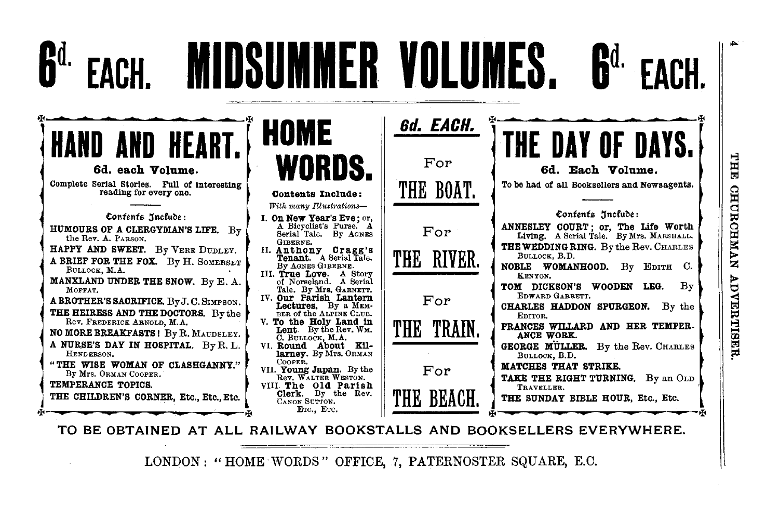#### **MIDSUMMER VOLUMES R**d. 6d. EACH. **HOME** For 6d. each Volume. 6d. Each Volume. Complete Serial Stories. Full of interesting To be had of all Booksellers and Newsagents. THE BOAT. reading for every one. Contents Include: With many Illustrations-Confents Include: Confents Jncfude: I. On New Year's Eve: or, A Bicyclist's Purse. A ANNESLEY COURT: or. The Life Worth HUMOURS OF A CLERGYMAN'S LIFE. By  $For$ Serial Tale, By AGNES Living, A Serial Tale. By Mrs. MARSHALL. the Rev. A. PARSON. GIBERNE. THE WEDDING RING. By the Rev. CHARLES HAPPY AND SWEET. By VERE DUDLEY. II. Anthony Cragg's Tenant. A Serial Tale. THE RIVER. BULLOCK, B.D. A BRIEF FOR THE FOX. By H. SOMERSET NOBLE WOMANHOOD. By EDITH C. By AGNES GIBERNE. BULLOCK, M.A. III. True Love. A Story **KENYON.** MANXLAND UNDER THE SNOW. By E. A. of Norseland. A Serial TOM DICKSON'S WOODEN LEG.  $Bv$ MOFFAT. Tale. By Mrs. GARNETT. EDWARD GARRETT. IV. Our Farish Lantern Lectures. By a MEM-A BROTHER'S SACRIFICE, By J. C. SIMPSON. For CHARLES HADDON SPURGEON. By the THE HEIRESS AND THE DOCTORS. By the BER of the ALPINE CLUB. EDITOR. Rev. FREDERICK ARNOLD, M.A. V. To the Holy Land in<br>Lent. By the Rev. WM. THE TRAIN. FRANCES WILLARD AND HER TEMPER-NO MORE BREAKFASTS! By R. MAUDSLEY. ANCE WORK. C. BULLOCK, M.A. A NURSE'S DAY IN HOSPITAL. By R.L. VI. Round About Kil-**GEORGE MÜLLER.** By the Rev. CHARLES larney, By Mrs. ORMAN HENDERSON. BULLOCK, B.D. COOPER. "THE WISE WOMAN OF CLASHGANNY." MATCHES THAT STRIKE. For VII. Young Japan. By the By Mrs. ORMAN COOPER. Rev. WALTER WESTON. TAKE THE RIGHT TURNING. By an OLD TEMPERANCE TOPICS. VIII The Old Parish TRAVELLER. Clerk. By the Rev. THE BEACH. THE CHILDREN'S CORNER, Etc., Etc., Etc. THE SUNDAY BIBLE HOUR, Etc., Etc. CANON SUTTON. ETC., ETC.

TO BE OBTAINED AT ALL RAILWAY BOOKSTALLS AND BOOKSELLERS EVERYWHERE.

LONDON: "HOME WORDS" OFFICE, 7, PATERNOSTER SQUARE, E.C.

THE CHURCHMAN **ADVERTISERR**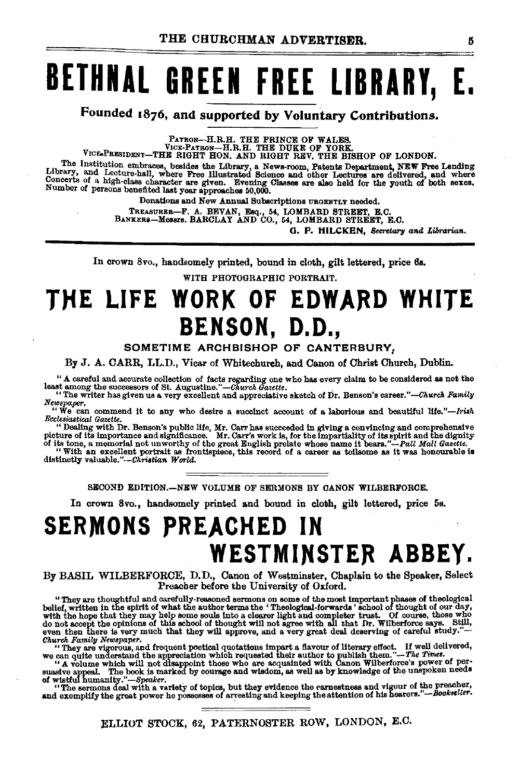# **BETHNAL GREEN FREE LIBRARY, E.**

**Founded 1876, and supported by Voluntary Contributions.** 

PATRON--H.R.H. THE PRINCE OF WALES. VICE·PATRON-H.R.H. THE DUKE OF YORK.

VICE-PRESIDENT-THE RIGHT HON. AND RIGHT REV. THE BISHOP OF LONDON.

The Institution embraces, besides the Library, a News-room, Patents Department, NEW Free Lending <br>Library, and Lecture-hall, where Free Illustrated Science and other Lectures are delivered, and where Concerts of a high-class character are given. Evening Classes are also held for the youth of both sexes.<br>Number of persons benefited last year approaches 50,000.

Donations and New Annual Subscriptions UROENTLY needed.

TREASURER-F. A. BEVAN, Esq., M, LOMBARD STREET, E.C. BANKERi-Messrs. BARCLAY AND CO., 64, LOMBARD STREET, E.C.

**0. F. HILCKEN,** *Secretary and Librarian.* 

In crown 8vo., handsomely printed, bound in cloth, gilt lettered, price 6s.

WITH PHOTOGRAPHIC PORTRAIT.

# THE LIFE WORK OF EDWARD WHITE **BENSON, D.D.,**

#### **SOMETIME ARCHBISHOP OF CANTERBURY,**

By J. A. CARR, LL.D., Vicar of Whitechureh, and Canon of Christ Church, Dublin.

"A careful and accurate collection of facts regarding one who has every claim to be considered as not the least among the successors of St. Augustine."-Church Gazette.

least among the successors of St. Augustlne."-Church *Ga.ette.* . "The writer has given us a very excellent and appreciative sketch of Dr. Benson's *career."-Church Family Newspaper.* 

"We can commend it to any who desire a succinct account of a laborious and beautiful *Ufe."-Irilh Ecclesiastical Gazette* 

"Dealing with Dr. Benson's public life, Mr. Carr has succeeded in giving a convincing and comprehensive picture of its importance and significance. Mr. Carr's work is, for the impartiality of its solution of its cone, a m

SECOND EDITION.-NEW VOLUME OF SERMONS BY CANON WILBERFORCE.

In crown 8vo., handsomely printed and bound in cloth, gilt lettered, price 5s.

# **SERMONS PREACHED IN**  WESTMINSTER ABBEY.

By BASIL WILBERFORCE, D.D., Canon of Westminster, Chaplain to the Speaker, Select Preacher before the University of Oxford.

"They are thoughtful and carefully-reasoned sermons on some of the most important phases of theological belief, written in the spirit of what the author terms the 'Theological-forwards' school of thought of our day, with

Church Family Newspaper.<br>
"They are vigorous, and frequent poetical quotations impart a flavour of literary effect. If well delivered,<br>
"A round which requested the appreciation which requested their author to publish the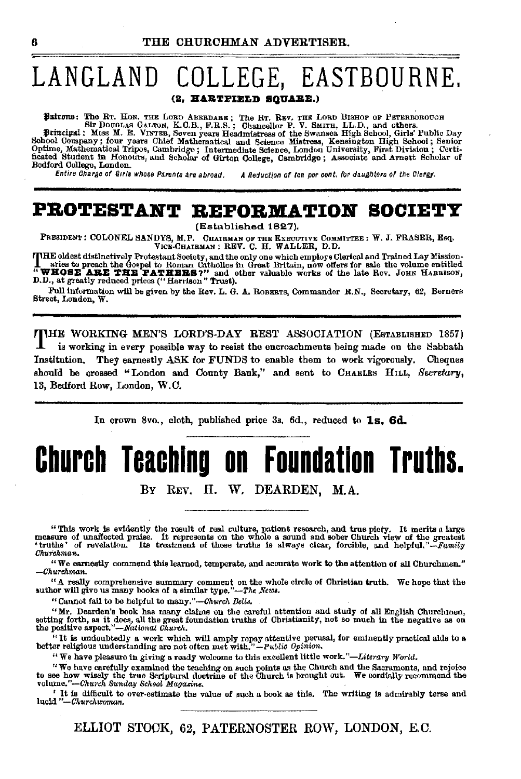### **LANGLAND COLLEGE, EASTBOURNE.**  (2, **HARTFIELD SQUARE.)**

Patrons: The RT. Hon. THE LORD ABERDARE; The RT. REV. THE LORD BISHOP OF PETERBOROUGH<br>Sir DouGLAS GALTON, K.C.B., F.R.S.; Chancellor P. V. SMITH, LL.D., and others.<br>Principal: Miss M. E. VINTER, Soven years Headmistress of

Principal: MISS M. E. VINTER, Soven years Headmistress of the Swansea High School, Girls' Public Day<br>School Company ; four years Chief Mathematical and Science Mistress, Kensington High School; Septime<br>Optime, Mathematical Bedford College, London.<br>Entire Charge of Girls whose Parents are abroad.

A Reduction of ten per cent. for daughters of the Clergy.

### **PROTESTANT REPORMATION SOCIETY**

(Established 1827).

PRESIDENT: COLONEL SANDYS, M.P. CHAIRMAN OF THE EXECUTIVE COMMITTEE: W. J. FRASER, Esq. V!OE·CHAIRMAN: REV. C. H. WALLER, D.D.

THE oldest distinctively Protestant Society, and the only one which employs Clerical and Trained Lay Mission-<br>1. aries to preach the Gospel to Roman Catholles in Great Britain, now offers for sale the volume entitled<br>\* WHO D.D., at greatly reduced prices ("Harrison" Trust).

Full information will be given by the Rev. L. G. A. RoBERTS, Commander R.N., Secretary, 62, Berners Street, London, W.

THE WORKING MEN'S LORD'S-DAY REST ASSOCIATION (ESTABLISHED 1857) is working in every possible way to resist the encroachments being made on the Sabbath Institution. They earnestly ASK for FUNDS to enable them to work vigorously. Cheques should be crossed "London and County Bank," and sent to CHARLES HILL, *Secretary,*  18, Bedford Row, London, W.O.

In crown 8vo., cloth, published price 3s. 6d., reduced to 1s. 6d.

# **Church Teaching on Foundation Truths.**

BY REV. H. W. DEARDEN, M.A.

"This work is evidently the result of real culture, patient research, and true piety. It merits a large measure of unaffected praise. It represents on the whole a sound and sober Church view of the greatest 'truthe' of re *Churchman.* 

"We earnestly commend this learned, temperate, and accurate work to the attention of all Churchmen." *-Churchman.* 

"A really comprehensive summary comment on the whole circle of Christian truth. We hope that the author will give us many books of a similar type."-The *News*.

"Cannot fall to be helpful to rnsny."-Church *Bells.* 

"Mr. Dearden's book has many claims on the careful attention and study of all English Churchmen, setting forth, as it does, all the great foundation truths of Christianity, not so much in the negative as on the positive aspect,"-National Church.

"It is undoubtedly a work which will amply repay attentive perussl, for eminently practical aids to a better religious understanding are not often met with." *-Public Opinion.* 

"We have pleasure in giving a ready welcome to this excellent little work."-Literary World.

"We have carefully examined the teaching on such points as the Church and the Sacraments, and rejoice<br>to see how wisely the true Scriptural doctrine of the Church is brought out. We cordially recommend the<br>volume."—Church

<sup>'</sup> It is difficult to over-estimate the value of such a book as this. The writing is admirably terse and luoid "-Churchwoman.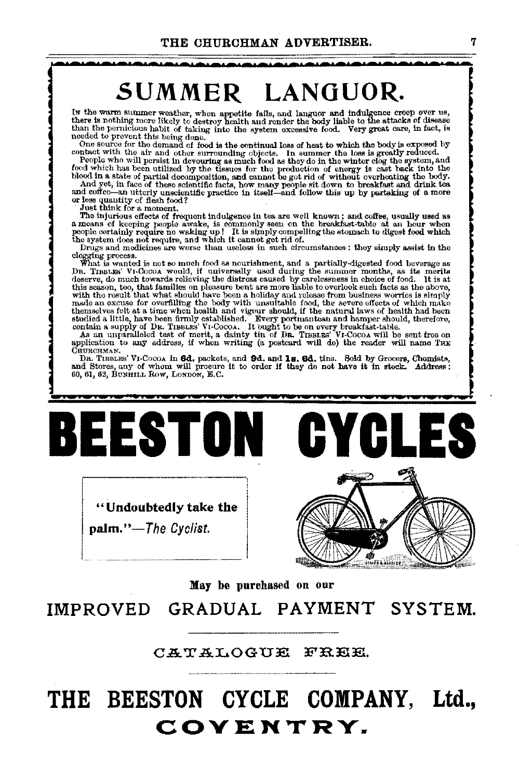## ·~·~·~·-·~·-·~·~·-·~·~·~·~·-·-·-·-·~·-·-·~·-·~·-·~·~·- **SUMMER LANGUOR.**

In the warm summer weather, when appetite fails, and languor and indulgence creep over us, there is nothing more likely to destroy health and render the body liable to the attacks of disease than the pernicious habit of ta

needed to prevent this being done. The continual loss of heat to which the body is exposed by contact with the air and other surrounding objects. In summer the demand of food is the continual loss of heat to which the body

People who will persist in devouring as much food as they do in the winter clog the system, and food which has been utilized by the tissues for the production of energy is cast back into the blood in a state of partial de

people oorta.inly require no waking up! It is simply compelling tho stomach to digest food which the system does not require, and which it cannot get rid of.

Drugs and medicines are worse than useless in such circumstances : they simply assist in the clogging process.<br>The state of the state of the state of the state of the state of the state of the state of the state of the sta with the result that what should have been a holiday and release from business worries is simply made an excuse for overfilling the body with unsuitable food, the severe effects of which make themselves felt at a time when health and vigour should, if the natural laws of health had been studied a little, have been firmly established. However is contain a supply of DR. TIBBLES' VI·COcoa. It bught to be on every

As an unparalleled test of merit, a dainty tin of Dn. TIBBLES' VI-Cocoa will be sent free on application to any address, if when writing (a postcard will do) the reader will name THE CHURCHMAN.

CHURCHMAN.<br>DR. TIBBLES' VI-COCOA in 6d. packets, and 9d. and 1s. 6d. tins. Sold by Grocers, Chemists, and Stores, any of whom will procure it to order if they do not have it in stock. Address : 60, 61, 62, BUNHILL Row, LoN



"Undoubtedly take the palm."-The *Cyclist.* 



May be purchased on our

IMPROVED GRADUAL PAYMENT SYSTEM.

CATALOGUE FREE.

# **THE BEESTON CYCLE COMPANY, Ltd., COVENTRY.**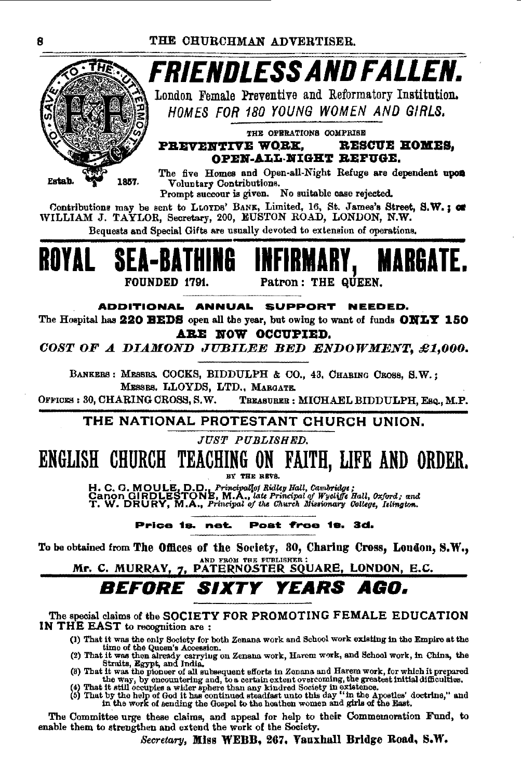

London Female Preventive and Reformatory Institution. HOMES FOR 180 YOUNG WOMEN AND GIRLS.

THE OPERATIONS COMPRISE PREVENTIVE WORK, RESCUE HOMES. OPEN-ALL-NIGHT REFUGE.

The five Homes and Open-all-Night Refuge are dependent upon Voluntary Contributions.

Prompt succour is given. No suitable case rejected.

Contributions may be sent to LLOYDS' BANK, Limited, 16, St. James's Street, S.W.: or WILLIAM J. TAYLOR, Secretary, 200, EUSTON ROAD, LONDON, N.W.

Bequests and Special Gifts are usually devoted to extension of operations.



Patron: THE QUEEN.

ADDITIONAL ANNUAL SUPPORT NEEDED.

The Hospital has 220 BEDS open all the year, but owing to want of funds ONLY 150 ARE NOW OCCUPIED.

COST OF A DIAMOND JUBILEE BED ENDOWMENT, £1,000.

BANKERS: MESSRS. COCKS, BIDDULPH & CO., 43, CHABING CROSS, S.W.; MESSRS, LLOYDS, LTD., MARGATE.

OFFICES: 30, CHARING CROSS, S.W. TREASURER : MICHAEL BIDDULPH, Esq., M.P.

THE NATIONAL PROTESTANT CHURCH UNION.

JUST PUBLISHED.

# ENGLISH CHURCH TEACHING ON FAITH, LIFE AND ORDER.

BY THE REVS.

H. C. G. MOULE, D.D., Principallof Ridley Hall, Cambridge;<br>Canon GIRDLESTONE, M.A., late Principal of Wycliffe Hall, Oxford; and<br>T. W. DRURY, M.A., Principal of the Church Missionary College, Islington.

#### Price 1s. net. Post free 1s. 3d.

To be obtained from The Offices of the Society, 30, Charing Cross, London, S.W., AND FROM THE PUBLISHER

Mr. C. MURRAY, 7, PATERNOSTER SQUARE, LONDON, E.C.

*BEFORE SIXTY* YEARS AGO.

The special claims of the SOCIETY FOR PROMOTING FEMALE EDUCATION IN THE EAST to recognition are:

- (1) That it was the only Society for both Zenana work and School work existing in the Empire at the
- 
- (1) That it was the only Society for both Zenana work and Scuoto work can bully in the case of the Queen's Accession.<br>
(2) That it was then already carrying on Zenana work, Harem work, and School work, in China, the Strat
- 

The Committee urge these claims, and appeal for help to their Commemoration Fund, to enable them to strengthen and extend the work of the Society.

Secretary, Miss WEBB, 267, Vauxhall Bridge Road, S.W.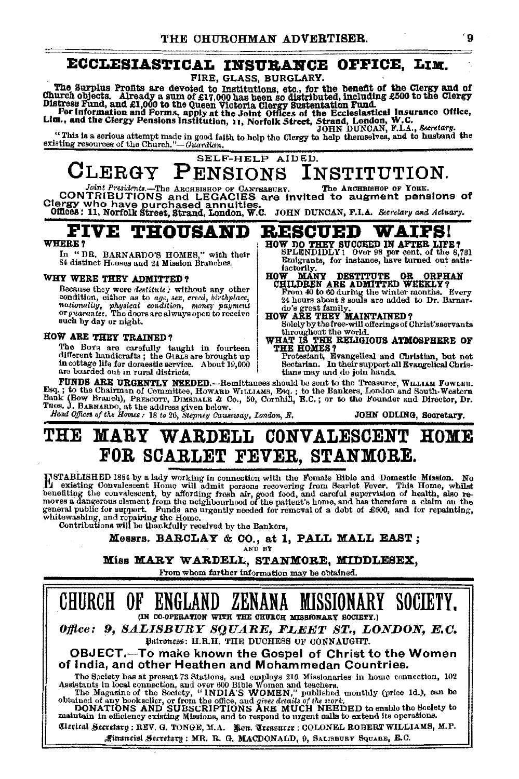### ECCLESIASTICAL INSURANCE OFFICE, LIM.

FIRE. GLASS. BURGLARY.

The Surplus Profits are devoted to Institutions, etc., for the benefit of the Clergy and of<br>Church objects. Already a sum of £17,000 has been so distributed, including £500 to the Clergy<br>Distress Fund, and £1,000 to the Qu

"This is a serious attempt made in good faith to help the Clergy to help thermselves, and to husband the existing resources of the Church."-Guardian.

SELF-HELP AIDED.

#### $CLERGY$ PENSIONS INSTITUTION.

The ARCHBISHOP OF YORK. Presidente --The ARCHBISHOP OF CANTERBURY. CONTRIBUTIONS and LEGACIES are invited to augment pensions of 

factorily.

**THE HOMES?** 

#### **FIVE RESCUED THOUSAND WAIFS!** HOW DO THEY SUCCEED IN AFTER LIFE?<br>SPLENDIDLY! Over 98 per cent. of the 8,781

#### WHERE?

In "DR. BARNARDO'S HOMES," with their 84 distinct Houses and 24 Mission Branches.

#### WHY WERE THEY ADMITTED?

Because they were destitute; without any other because they were *assistant as the manufoliation*, with a state and include a mationality, physical condition, money payment or *guarantee*. The doors are always open to receive such by day or night.

#### HOW ARE THEY TRAINED?

The Boys are carefully taught in fourteen<br>different handicrafts; the Grans are brought up in cottage life for domestic service. About 19,000 are boarded out in rural districts.

tians may and do join hands. FUNDS ARE URGENTLY NEEDED.---Remittances should be sent to the Treasurer, WILLIAM FOWLER. Fig. 1. to the Chairman of Committee, Howken With the Seq.; to the Bankers, London and South-Western<br>Bank (Bow Branch), PRESCOTT, DIMSDALE & Co., 50, Cornhill, E.C.; or to the Founder and Director, D. Trees. J. BARKERS, Lo

Emigrants, for instance, have turned out satis-

HOW MANY DESTITUTE OR ORPHAN<br>CHILDREN ARE ADMITTED WEEKLY?<br>From 40 to 60 during the winter months. Every<br>24 hours about 3 souls are added to Dr. Barnar-

24 nous sources sources and allows and all the Dr. Barnar-<br>do's great family.<br>HOW ARE THEY MAINTAINED?<br>Solely by the free-will offerings of Christ's servants

throughout the world.<br>WHAT IS THE RELIGIOUS ATMOSPHERE OF

Protestant, Evangelical and Christian, but not<br>Sectarian. In their support all Evangelical Chris-

## THE MARY WARDELL CONVALESCENT HOME FOR SCARLET FEVER. STANMORE.

INSTABLISHED 1884 by a lady working in connection with the Female Bible and Domestic Mission. No<br>meeting Convalescent Home will admit persons recovering from Searlet Fover. This Home, whilst<br>neneting the convalescent, by a several public for support. Funds are urgently needed for removal of a debt of £600, and for repainting,<br>whitewashing, and repairing the Home.<br>Contributions will be thankfully received by the Bankors,

Messrs. BARCLAY & CO., at 1, PALL MALL EAST; AND BY

#### Miss MARY WARDELL, STANMORE, MIDDLESEX,

From whom further information may be obtained.

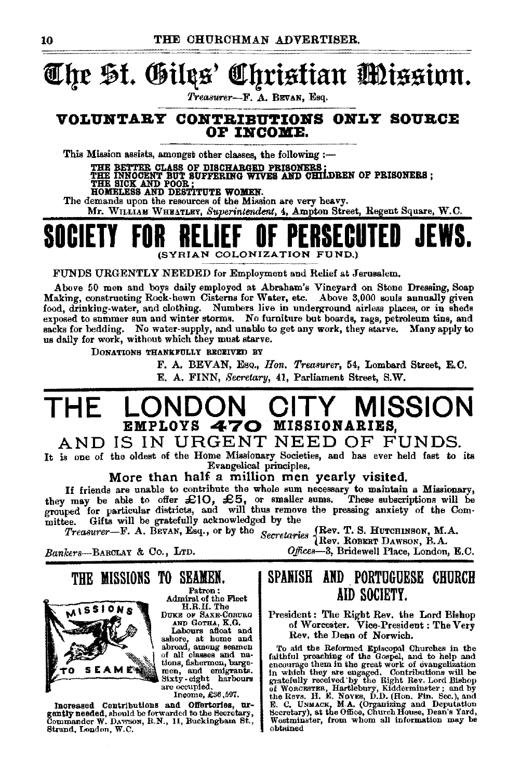# **@rfre \$l. ®iltts' f!Jqristian mtssiun.**

*Treasurer-F.* A. BEVAN, Esq.

#### **VOLUNTARY CONTRIBUTIONS ONLY SOURCE OF IlfCOM:E.**

This Mission assists, amongst other classes, the following  $:=$ 

THE BETTER CLASS OF DISCHARGED PRISONERS •<br>THE INNOCENT BUT SUFFERING WIVES AND CHILDREN OF PRISONERS ;<br>THE SICK AND DESTITUTE WOMEN.<br>HOMELESS AND DESTITUTE WOMEN. The demands upon the resources of the Mission are very heavy.

Mr. WILLIAM WHEATLEY, *Superintendent,* 4, Ampton Street, Regent Square, W.O.

## **SOCIETY FOR RELIEF OF PERSECUTED JEWS.**  (SYRIAN COLONIZATION FUND.)

FUNDS URGENTLY NEEDED for Employment and Relief at Jerusalem.

Above 50 men and boys daily employed at Abraham's Vineyard on Stone Dressing, Soap Making, constructing Rock· hewn Cisterns for Water, etc. Above 3,000 souls annually given food, drinking-water, and clothing. Numbers live in underground airleas places, or in sheds exposed to summer sun and winter storms. No furniture but boards, rags, petroleum tins, and sacks for bedding. No water-supply, and unable to get any work, they starve. Many apply to us daily for work, without which they must starve.

DONATIONS THANKFULLY RECEIVED BY

F. A. BEVAN, Eso., *Hon. Treasurer,* 54, Lombard Street, E.C. E. A. FINN, *Secretary*, 41, Parliament Street, S.W.

## LONDON CITY MISSION<br>employs **470** missionaries. EMPLOYS **470** MISSIONARIES,

## AND IS IN URGENT NEED OF FUNDS.

It is one of the oldest of the Home Missionary Societies, and has ever held fast to its Evangelical principles.

More than half a million men yearly visited.

If friends are unable to contribute the whole sum necessary to maintain a Missionary,<br>they may be able to offer  $\mathcal{L}10$ ,  $\mathcal{L}5$ , or smaller sums. These subscriptions will be<br>grouped for particular districts, and wil mittee. Gifts will be gratefully acknowledged by the

*Treasurer-F.* A. BEVAN, Esq., or by the *Secretaries* {Rev. T. S. HuTOHINBON, M.A. Rev. ROBERT DAWSON, B.A.

*Banker8-BAROLAY* & Co., LTD. *0./fteeB-3,* Bridewell Place, London, E.O.



Patron: Admiral of the Fleet

DUKE OF SAXE-COBURG<br>AND GOTHA, K.G.

Labours afloat and<br>ashore, at home and<br>abroad, among seamen<br>tions, fishermen, barge-<br>men, and emigrants. Sixty. eight harbours are occupied.

Inoome, £36,591.

Increased Contributions and Offertories, urgently needed, should be forwarded to the Secretary, Commander W. DAWSON, R.N., 11, Buckingbam St., Strand, London, W.C.

THE MISSIONS TO SEAMEN.

### SPANISH AND PORTUGUESE CHURCH AID SOCIETY.

President: The Right Rev. the Lord Bishop of Worcester. Vice-President: The Very Rev. the Dean of Norwich.

To aid the Reformed Episcopal Churches in the faithful preaching of the Gospel, and to help and encoumge them in the great work of evangelization In which they are engaged. Contributions will be grateduly received by the Right Rev. Lord Bishop of Woaczerzea, Harklebury, Kiddermineter; and by the Reves. H. E. Noves, D.D. (Hon. Pin. Sec.), and B. E. C. UNMACK, M.A. (O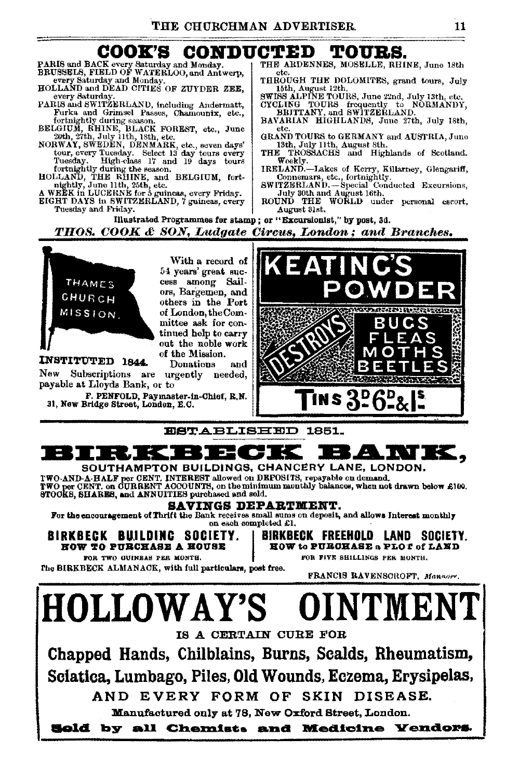# $\textbf{COOK}$ 'S  $\textbf{CONDUCTED}$  TOURS.<br>CK every Saturday and Monday.  $1$  THE ARDENNES, MOSELLE, RHINE, June 18th

- PARIS and BACK every Saturday and Monday. THE ARDENSELS, FIELD OF WATERLOO, and Antwerp, Fig.
- HOLLAND and DEAD CITIES OF ZUYDER ZEE, every Saturday.
- PARIS and SWITZERLAND, including Andermatt, CYCLING TOURS frequently to NORMANDY,<br>Furka and Grimsel Passes, Chamounix, etc.. BRITTANY, and SWITZERLAND, Furka and Grimsel Passes, Chamounix, etc., BRITTANY, and SWITZERLAND.<br>fortnightly during season. Chamounix, etc., BAVARIAN HIGHLANDS, June 27th, July 18th,
- 
- tway, SWEDEN, DENMARK, etc., seven days' and the TROSSACHS and Highlands of Scotland.<br>tour, every Tuesday. Select 13 day tours every THE TROSSACHS and Highlands of Scotland.<br>Tuesday. High-class 17 and 19 days tours Weekly.
- 
- A WEËK In LUCERNE for 5 guineas, every Friday. July 30th and August 16th.<br>EIGHT DAYS in SWITZERLAND, 7 guineas, every ROUND THE WORLD under personal escort,<br>Tuesday and Friday.

- 
- BRUSSELS, FIELD OF WATERLOO, AND ANTWERPS, FIELD OF WATERLOOMS SATURDAY AND SELLAND AND ALLAMIC UNITED AND THE SOFT WATERS OF ZUY DER ZEE, THE SATURDAY. THE DOLOMITES, grand tours, July 13th, etc.
	-
	-
- fortnightly during season.<br>BELGIUM, RHINE, BELGIN HIGHLANDS, June 27th, July 18th,<br>20th, 27th, July 11th, 18th, etc., etc., June etc., GRAND TOURS to GERMANY and AUSTRIA, June<br>NORWAY, SWEDEN, DENMARK, etc., seven days' 13t
	-
- Tuesday. High-class 17 and 19 days tours Weekly.<br>fortnightly during the easen. IRELAND.--I.akes of Kerry, Killarney, Glengariff,<br>HOLLAND, THE RHINE, and BELGIUM, fort- Connemara, etc., fortnightly.
	- nightly, June 25th, 25th, 25th, 25th, 25th, 25th, 25th, 25th, 25th, 25th, 25th, 25th, 25th, 25th, 25th, 25th, 25th, 25th, 25th, 25th, 25th, 25th, 25th, 25th, 25th, 25th, 25th, 25th, 25th, 25th, 25th, 25th, 25th, 25th, 25th
	-

mustra.ted Programmes for stamp ; or "Excursionist," by post, 3d.

THOS. COOK & SON, Ludgate Circus, London; and Branches.



With a record of 54 years' great success among Sailors, Bargemen, and others in the Port of London, the Comtinued help to carry out the noble work of the Mission.

**INSTITUTED 1844.** Donations and New Subscriptions are urgently needed, Subscriptions are urgently needed, payable at Lloyds Bank, or to

F. PENFOLD, Paymaster-in-Chief, R.N.<br>31, New Bridge Street, London, E.C.